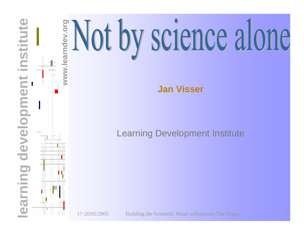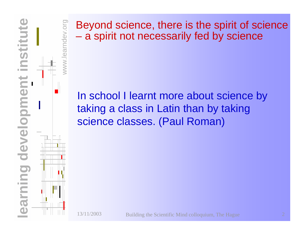

www.learndev.org mdev.org Beyond science, there is the spirit of science a spirit not necessarily fed by science

#### In school I learnt more about science by taking a class in Latin than by taking science classes. (Paul Roman)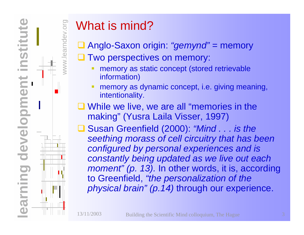

rndev

# What is mind?

- Anglo-Saxon origin: *"gemynd"* = memory
- **Q Two perspectives on memory:** 
	- memory as static concept (stored retrievable information)
	- memory as dynamic concept, i.e. giving meaning, intentionality.
- **While we live, we are all "memories in the** making" (Yusra Laila Visser, 1997)
- Susan Greenfield (2000): *"Mind . . . is the seething morass of cell circuitry that has been configured by personal experiences and is constantly being updated as we live out each moment" (p. 13).* In other words, it is, according to Greenfield, *"the personalization of the physical brain" (p.14)* through our experience.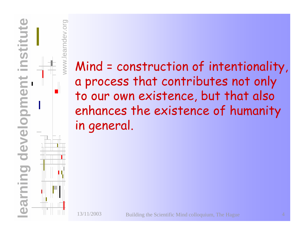

Mind = construction of intentionality, a process that contributes not only to our own existence, but that also enhances the existence of humanity in general.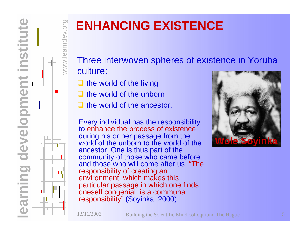

 $NNN$ 

rndev.org

## **ENHANCING EXISTENCE**

Three interwoven spheres of existence in Yoruba culture:

- $\Box$  the world of the living
- $\Box$  the world of the unborn
- $\Box$  the world of the ancestor.

Every individual has t he responsibility to enhance the process of existence during his or her passage from the world of the unborn to the world of the anc estor. One is thus part of the community of those who came befor e and those who will come after us. "The responsibility of creating an environment, which makes this particular passage in which one finds oneself congenial, is a communal responsibility" (Soyinka, 2000).

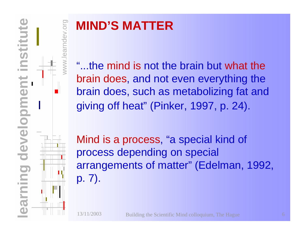

## **MIND'S MATTER**

"...the mind is not the brain but what the brain does, and not even everything the brain does, such as metabolizing fat and giving off heat" (Pinker, 1997, p. 24).

Mind is a process, "a special kind of process depending on special arrangements of matter" (Edelman, 1992, p. 7).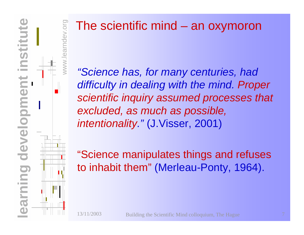

#### The scientific mind – an oxymoron

*"Science has, for many centuries, had difficulty in dealing with the mind. Proper scientific inquiry assumed processes that excluded, as much as possible, intentionality."* (J.Visser, 2001)

"Science manipulates things and refuses to inhabit them" (Merleau-Ponty, 1964).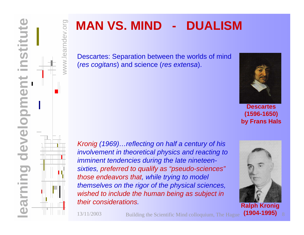

### **MAN VS. MIND - DUALISM**

Descartes: Separation between the worlds of mind (*res cogitans*) and science (*res extensa*).



**Descartes (1596-1650) by Frans Hals**



www.learndev.org

.org

*Kronig (1969)…reflecting on half a century of his involvement in theoretical physics and reacting to imminent tendencies during the late nineteensixties, preferred to qualify as "pseudo-sciences" those endeavors that, while trying to model themselves on the rigor of the physical sciences, wished to include the human being as subject in their considerations.*

13/11/2003

Building the Scientific Mind colloquium, The Hague



**(1904-1995)**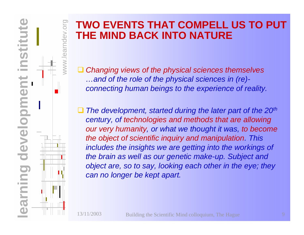

#### **TWO EVENTS THAT COMPELL US TO PUT THE MIND BACK INTO NATURE**

 $\Box$  *Changing views of the physical sciences themselves …and of the role of the physical sciences in (re) connecting human beings to the experience of reality.*

 $\Box$ ■ The development, started during the later part of the 20<sup>th</sup> *century, of technologies and methods that are allowing our very humanity, or what we thought it was, to become the object of scientific inquiry and manipulation. This inc ludes the ins ights we are getting into the workings of the brain as well as our genetic make-up. Subject and object are, so to say, looking each other in the eye; they can no longer be kept apart.*